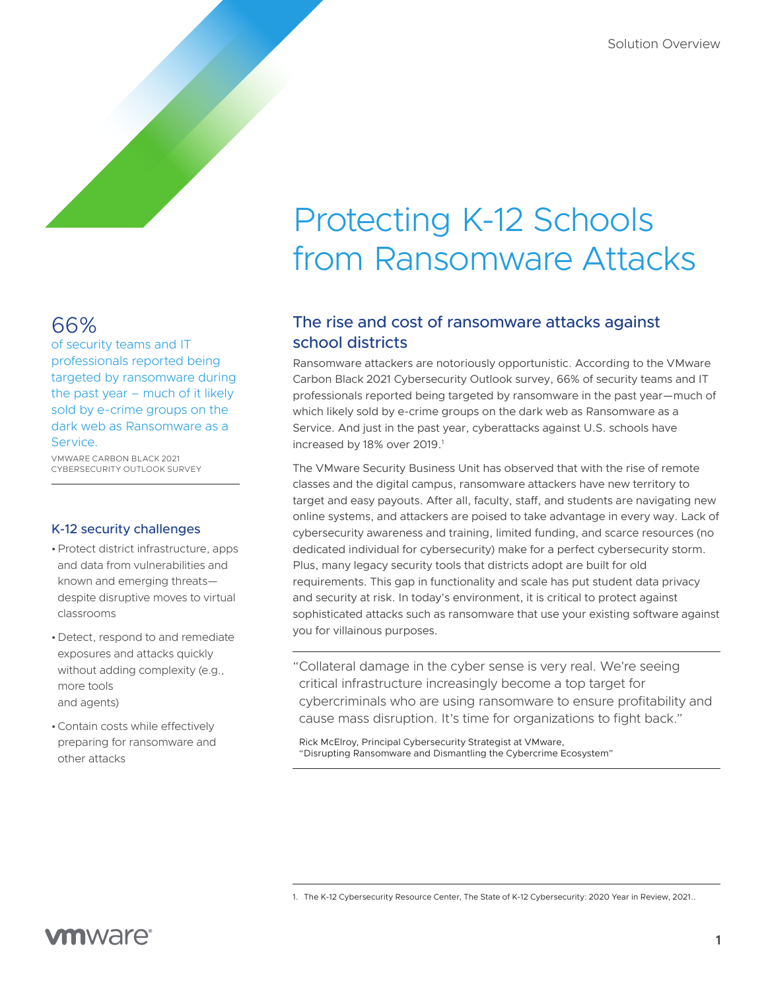# 66%

of security teams and IT professionals reported being targeted by ransomware during the past year – much of it likely sold by e-crime groups on the dark web as Ransomware as a Service.

VMWARE CARBON BLACK 2021 CYBERSECURITY OUTLOOK SURVEY

#### K-12 security challenges

- •Protect district infrastructure, apps and data from vulnerabilities and known and emerging threats despite disruptive moves to virtual classrooms
- •Detect, respond to and remediate exposures and attacks quickly without adding complexity (e.g., more tools and agents)
- •Contain costs while effectively preparing for ransomware and other attacks

# Protecting K-12 Schools from Ransomware Attacks

# The rise and cost of ransomware attacks against school districts

Ransomware attackers are notoriously opportunistic. According to the VMware Carbon Black 2021 Cybersecurity Outlook survey, 66% of security teams and IT professionals reported being targeted by ransomware in the past year—much of which likely sold by e-crime groups on the dark web as Ransomware as a Service. And just in the past year, cyberattacks against U.S. schools have increased by 18% over 2019.<sup>1</sup>

The VMware Security Business Unit has observed that with the rise of remote classes and the digital campus, ransomware attackers have new territory to target and easy payouts. After all, faculty, staff, and students are navigating new online systems, and attackers are poised to take advantage in every way. Lack of cybersecurity awareness and training, limited funding, and scarce resources (no dedicated individual for cybersecurity) make for a perfect cybersecurity storm. Plus, many legacy security tools that districts adopt are built for old requirements. This gap in functionality and scale has put student data privacy and security at risk. In today's environment, it is critical to protect against sophisticated attacks such as ransomware that use your existing software against you for villainous purposes.

"Collateral damage in the cyber sense is very real. We're seeing critical infrastructure increasingly become a top target for cybercriminals who are using ransomware to ensure profitability and cause mass disruption. It's time for organizations to fight back."

Rick McElroy, Principal Cybersecurity Strategist at VMware, "Disrupting Ransomware and Dismantling the Cybercrime Ecosystem"

<sup>1.</sup> The K-12 Cybersecurity Resource Center, The State of K-12 Cybersecurity: 2020 Year in Review, 2021..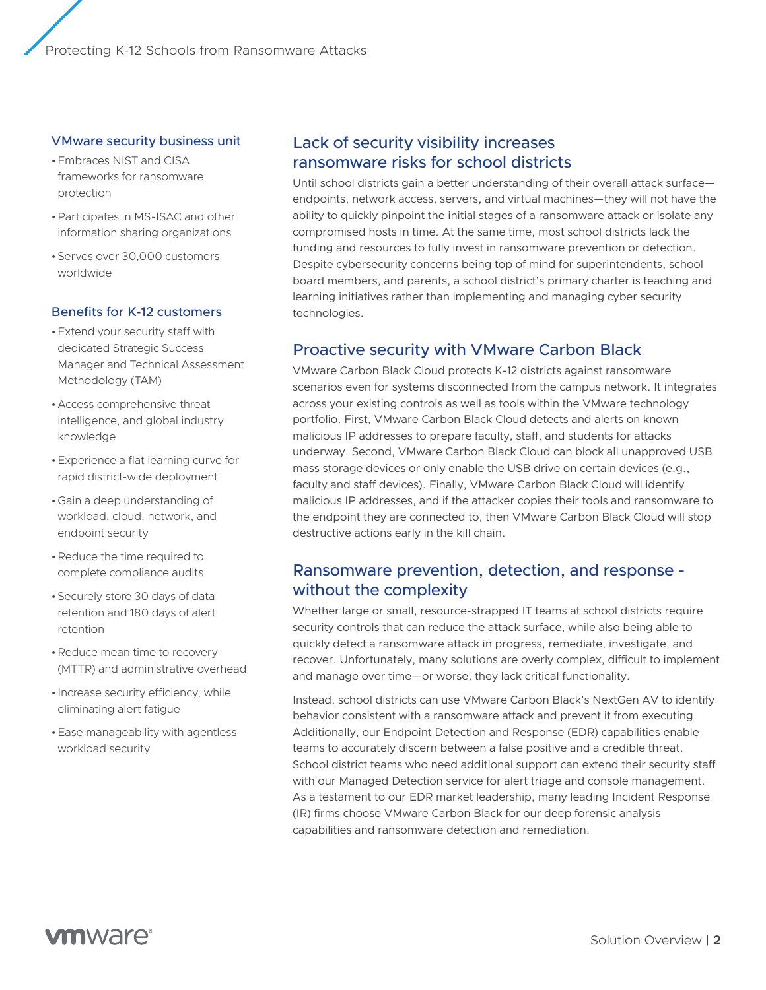Protecting K-12 Schools from Ransomware Attacks

#### VMware security business unit

- •Embraces NIST and CISA frameworks for ransomware protection
- •Participates in MS-ISAC and other information sharing organizations
- •Serves over 30,000 customers worldwide

#### Benefits for K-12 customers

- •Extend your security staff with dedicated Strategic Success Manager and Technical Assessment Methodology (TAM)
- •Access comprehensive threat intelligence, and global industry knowledge
- •Experience a flat learning curve for rapid district-wide deployment
- •Gain a deep understanding of workload, cloud, network, and endpoint security
- •Reduce the time required to complete compliance audits
- •Securely store 30 days of data retention and 180 days of alert retention
- •Reduce mean time to recovery (MTTR) and administrative overhead
- Increase security efficiency, while eliminating alert fatigue
- •Ease manageability with agentless workload security

# Lack of security visibility increases ransomware risks for school districts

Until school districts gain a better understanding of their overall attack surface endpoints, network access, servers, and virtual machines—they will not have the ability to quickly pinpoint the initial stages of a ransomware attack or isolate any compromised hosts in time. At the same time, most school districts lack the funding and resources to fully invest in ransomware prevention or detection. Despite cybersecurity concerns being top of mind for superintendents, school board members, and parents, a school district's primary charter is teaching and learning initiatives rather than implementing and managing cyber security technologies.

#### Proactive security with VMware Carbon Black

VMware Carbon Black Cloud protects K-12 districts against ransomware scenarios even for systems disconnected from the campus network. It integrates across your existing controls as well as tools within the VMware technology portfolio. First, VMware Carbon Black Cloud detects and alerts on known malicious IP addresses to prepare faculty, staff, and students for attacks underway. Second, VMware Carbon Black Cloud can block all unapproved USB mass storage devices or only enable the USB drive on certain devices (e.g., faculty and staff devices). Finally, VMware Carbon Black Cloud will identify malicious IP addresses, and if the attacker copies their tools and ransomware to the endpoint they are connected to, then VMware Carbon Black Cloud will stop destructive actions early in the kill chain.

# Ransomware prevention, detection, and response without the complexity

Whether large or small, resource-strapped IT teams at school districts require security controls that can reduce the attack surface, while also being able to quickly detect a ransomware attack in progress, remediate, investigate, and recover. Unfortunately, many solutions are overly complex, difficult to implement and manage over time—or worse, they lack critical functionality.

Instead, school districts can use VMware Carbon Black's NextGen AV to identify behavior consistent with a ransomware attack and prevent it from executing. Additionally, our Endpoint Detection and Response (EDR) capabilities enable teams to accurately discern between a false positive and a credible threat. School district teams who need additional support can extend their security staff with our Managed Detection service for alert triage and console management. As a testament to our EDR market leadership, many leading Incident Response (IR) firms choose VMware Carbon Black for our deep forensic analysis capabilities and ransomware detection and remediation.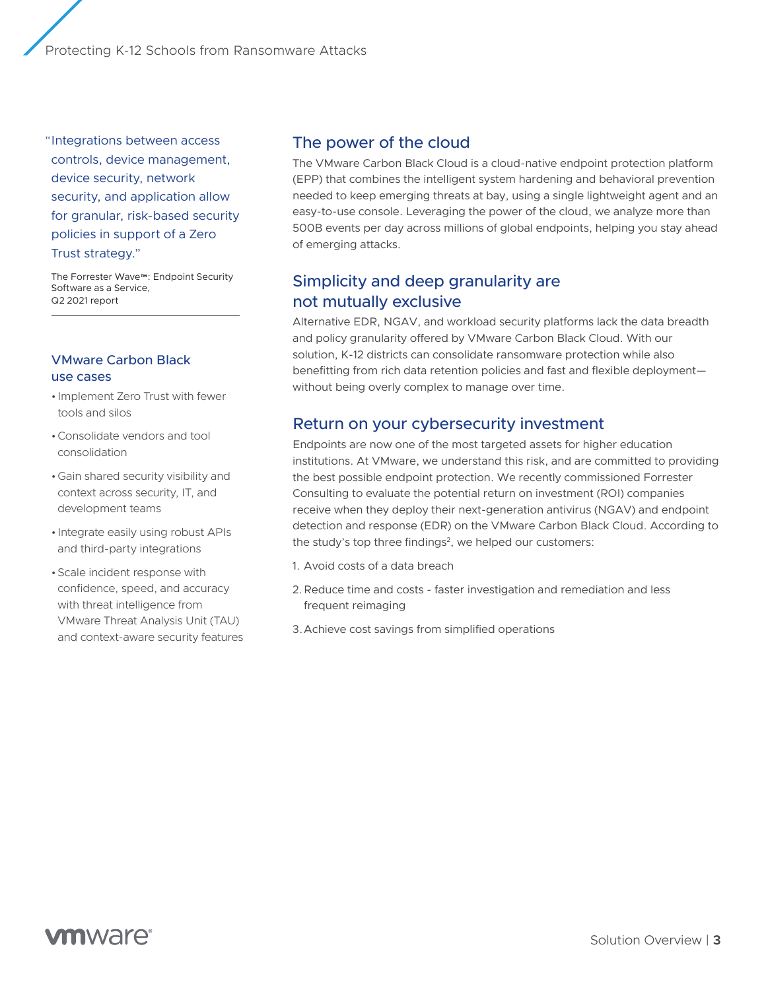Protecting K-12 Schools from Ransomware Attacks

"Integrations between access controls, device management, device security, network security, and application allow for granular, risk-based security policies in support of a Zero Trust strategy."

The Forrester Wave™: Endpoint Security Software as a Service, Q2 2021 report

#### VMware Carbon Black use cases

- Implement Zero Trust with fewer tools and silos
- •Consolidate vendors and tool consolidation
- •Gain shared security visibility and context across security, IT, and development teams
- Integrate easily using robust APIs and third-party integrations
- •Scale incident response with confidence, speed, and accuracy with threat intelligence from VMware Threat Analysis Unit (TAU) and context-aware security features

# The power of the cloud

The VMware Carbon Black Cloud is a cloud-native endpoint protection platform (EPP) that combines the intelligent system hardening and behavioral prevention needed to keep emerging threats at bay, using a single lightweight agent and an easy-to-use console. Leveraging the power of the cloud, we analyze more than 500B events per day across millions of global endpoints, helping you stay ahead of emerging attacks.

# Simplicity and deep granularity are not mutually exclusive

Alternative EDR, NGAV, and workload security platforms lack the data breadth and policy granularity offered by VMware Carbon Black Cloud. With our solution, K-12 districts can consolidate ransomware protection while also benefitting from rich data retention policies and fast and flexible deployment without being overly complex to manage over time.

### Return on your cybersecurity investment

Endpoints are now one of the most targeted assets for higher education institutions. At VMware, we understand this risk, and are committed to providing the best possible endpoint protection. We recently commissioned Forrester Consulting to evaluate the potential return on investment (ROI) companies receive when they deploy their next-generation antivirus (NGAV) and endpoint detection and response (EDR) on the VMware Carbon Black Cloud. According to the study's top three findings<sup>2</sup>, we helped our customers:

- 1. Avoid costs of a data breach
- 2.Reduce time and costs faster investigation and remediation and less frequent reimaging
- 3.Achieve cost savings from simplified operations